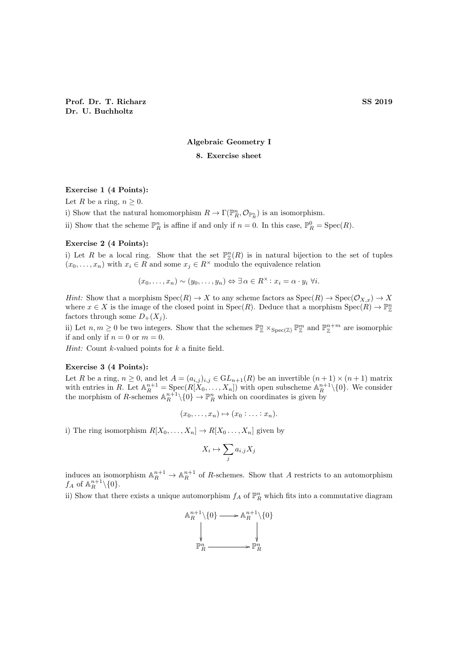# Algebraic Geometry I

# 8. Exercise sheet

# Exercise 1 (4 Points):

Let R be a ring,  $n \geq 0$ .

i) Show that the natural homomorphism  $R \to \Gamma(\mathbb{P}^n_R, \mathcal{O}_{\mathbb{P}^n_R})$  is an isomorphism.

ii) Show that the scheme  $\mathbb{P}_R^n$  is affine if and only if  $n = 0$ . In this case,  $\mathbb{P}_R^0 = \text{Spec}(R)$ .

#### Exercise 2 (4 Points):

i) Let R be a local ring. Show that the set  $\mathbb{P}_{\mathbb{Z}}^n(R)$  is in natural bijection to the set of tuples  $(x_0, \ldots, x_n)$  with  $x_i \in R$  and some  $x_j \in R^{\times}$  modulo the equivalence relation

$$
(x_0, \ldots, x_n) \sim (y_0, \ldots, y_n) \Leftrightarrow \exists \alpha \in R^{\times} \colon x_i = \alpha \cdot y_i \; \forall i.
$$

*Hint:* Show that a morphism  $Spec(R) \to X$  to any scheme factors as  $Spec(R) \to Spec(\mathcal{O}_{X,x}) \to X$ where  $x \in X$  is the image of the closed point in  $Spec(R)$ . Deduce that a morphism  $Spec(R) \to \mathbb{P}_{\mathbb{Z}}^n$ factors through some  $D_+(X_i)$ .

ii) Let  $n, m \geq 0$  be two integers. Show that the schemes  $\mathbb{P}^n_{\mathbb{Z}} \times_{\text{Spec}(\mathbb{Z})} \mathbb{P}^m_{\mathbb{Z}}$  and  $\mathbb{P}^{n+m}_{\mathbb{Z}}$  are isomorphic if and only if  $n = 0$  or  $m = 0$ .

*Hint:* Count  $k$ -valued points for  $k$  a finite field.

### Exercise 3 (4 Points):

Let R be a ring,  $n \geq 0$ , and let  $A = (a_{i,j})_{i,j} \in GL_{n+1}(R)$  be an invertible  $(n+1) \times (n+1)$  matrix with entries in R. Let  $\mathbb{A}^{n+1}_R = \text{Spec}(R[X_0, \ldots, X_n])$  with open subscheme  $\mathbb{A}^{n+1}_R \setminus \{0\}$ . We consider the morphism of R-schemes  $\mathbb{A}^{n+1}_R \setminus \{0\} \to \mathbb{P}^n_R$  which on coordinates is given by

$$
(x_0,\ldots,x_n)\mapsto (x_0:\ldots:x_n).
$$

i) The ring isomorphism  $R[X_0, \ldots, X_n] \to R[X_0, \ldots, X_n]$  given by

$$
X_i \mapsto \sum_j a_{i,j} X_j
$$

induces an isomorphism  $\mathbb{A}_R^{n+1} \to \mathbb{A}_R^{n+1}$  of R-schemes. Show that A restricts to an automorphism  $f_A$  of  $\mathbb{A}^{n+1}_R \setminus \{0\}.$ 

ii) Show that there exists a unique automorphism  $f_A$  of  $\mathbb{P}_R^n$  which fits into a commutative diagram